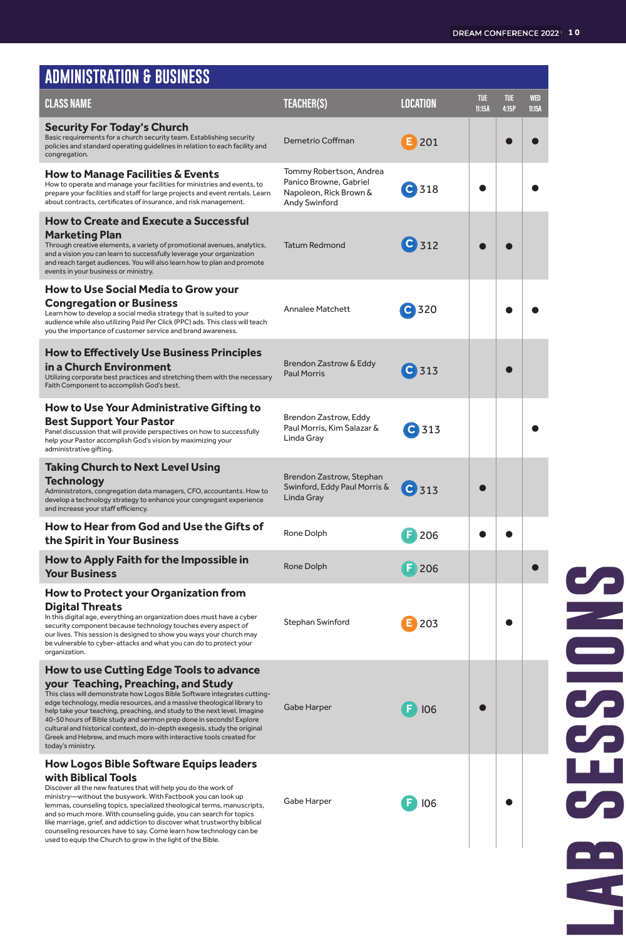| <b>ADMINISTRATION &amp; BUSINESS</b>                                                                                                                                                                                                                                                                                                                                                                                                                                                                                                                                       |                                                                                              |                    |                      |                     |                      |
|----------------------------------------------------------------------------------------------------------------------------------------------------------------------------------------------------------------------------------------------------------------------------------------------------------------------------------------------------------------------------------------------------------------------------------------------------------------------------------------------------------------------------------------------------------------------------|----------------------------------------------------------------------------------------------|--------------------|----------------------|---------------------|----------------------|
| <b>CLASS NAME</b>                                                                                                                                                                                                                                                                                                                                                                                                                                                                                                                                                          | <b>TEACHER(S)</b>                                                                            | LOCATION           | <b>TUE</b><br>11:15A | <b>TUE</b><br>4:15P | <b>WED</b><br>11:15A |
| <b>Security For Today's Church</b><br>Basic requirements for a church security team. Establishing security<br>policies and standard operating guidelines in relation to each facility and<br>congregation.                                                                                                                                                                                                                                                                                                                                                                 | Demetrio Coffman                                                                             | 201                |                      |                     |                      |
| How to Manage Facilities & Events<br>How to operate and manage your facilities for ministries and events, to<br>prepare your facilities and staff for large projects and event rentals. Learn<br>about contracts, certificates of insurance, and risk management.                                                                                                                                                                                                                                                                                                          | Tommy Robertson, Andrea<br>Panico Browne, Gabriel<br>Napoleon, Rick Brown &<br>Andy Swinford | C 318              |                      |                     |                      |
| <b>How to Create and Execute a Successful</b><br>Marketing Plan<br>Through creative elements, a variety of promotional avenues, analytics,<br>and a vision you can learn to successfully leverage your organization<br>and reach target audiences. You will also learn how to plan and promote<br>events in your business or ministry.                                                                                                                                                                                                                                     | <b>Tatum Redmond</b>                                                                         | C 312              |                      |                     |                      |
| How to Use Social Media to Grow your<br><b>Congregation or Business</b><br>Learn how to develop a social media strategy that is suited to your<br>audience while also utilizing Paid Per Click (PPC) ads. This class will teach<br>you the importance of customer service and brand awareness.                                                                                                                                                                                                                                                                             | <b>Annalee Matchett</b>                                                                      | C <sub>320</sub>   |                      |                     |                      |
| <b>How to Effectively Use Business Principles</b><br>in a Church Environment<br>Utilizing corporate best practices and stretching them with the necessary<br>Faith Component to accomplish God's best.                                                                                                                                                                                                                                                                                                                                                                     | <b>Brendon Zastrow &amp; Eddy</b><br><b>Paul Morris</b>                                      | C 313              |                      |                     |                      |
| How to Use Your Administrative Gifting to<br><b>Best Support Your Pastor</b><br>Panel discussion that will provide perspectives on how to successfully<br>help your Pastor accomplish God's vision by maximizing your<br>administrative gifting.                                                                                                                                                                                                                                                                                                                           | Brendon Zastrow, Eddy<br>Paul Morris, Kim Salazar &<br>Linda Gray                            | C 313              |                      |                     |                      |
| <b>Taking Church to Next Level Using</b><br>Technology<br>Administrators, congregation data managers, CFO, accountants. How to<br>develop a technology strategy to enhance your congregant experience<br>and increase your staff efficiency.                                                                                                                                                                                                                                                                                                                               | Brendon Zastrow, Stephan<br>Swinford, Eddy Paul Morris &<br>Linda Gray                       | $C$ <sub>313</sub> |                      |                     |                      |
| <b>How to Hear from God and Use the Gifts of</b><br>the Spirit in Your Business                                                                                                                                                                                                                                                                                                                                                                                                                                                                                            | Rone Dolph                                                                                   | 206                |                      |                     |                      |
| How to Apply Faith for the Impossible in<br><b>Your Business</b>                                                                                                                                                                                                                                                                                                                                                                                                                                                                                                           | <b>Rone Dolph</b>                                                                            | 206                |                      |                     |                      |
| <b>How to Protect your Organization from</b><br><b>Digital Threats</b><br>In this digital age, everything an organization does must have a cyber<br>security component because technology touches every aspect of<br>our lives. This session is designed to show you ways your church may<br>be vulnerable to cyber-attacks and what you can do to protect your<br>organization.                                                                                                                                                                                           | Stephan Swinford                                                                             | 203                |                      |                     |                      |
| <b>How to use Cutting Edge Tools to advance</b><br>your Teaching, Preaching, and Study<br>This class will demonstrate how Logos Bible Software integrates cutting-<br>edge technology, media resources, and a massive theological library to<br>help take your teaching, preaching, and study to the next level. Imagine<br>40-50 hours of Bible study and sermon prep done in seconds! Explore<br>cultural and historical context, do in-depth exegesis, study the original<br>Greek and Hebrew, and much more with interactive tools created for<br>today's ministry.    | Gabe Harper                                                                                  | F<br>106           |                      |                     |                      |
| <b>How Logos Bible Software Equips leaders</b><br>with Biblical Tools<br>Discover all the new features that will help you do the work of<br>ministry-without the busywork. With Factbook you can look up<br>lemmas, counseling topics, specialized theological terms, manuscripts,<br>and so much more. With counseling guide, you can search for topics<br>like marriage, grief, and addiction to discover what trustworthy biblical<br>counseling resources have to say. Come learn how technology can be<br>used to equip the Church to grow in the light of the Bible. | Gabe Harper                                                                                  | 106                |                      |                     |                      |

## ESSIONS **lab sessions** S œ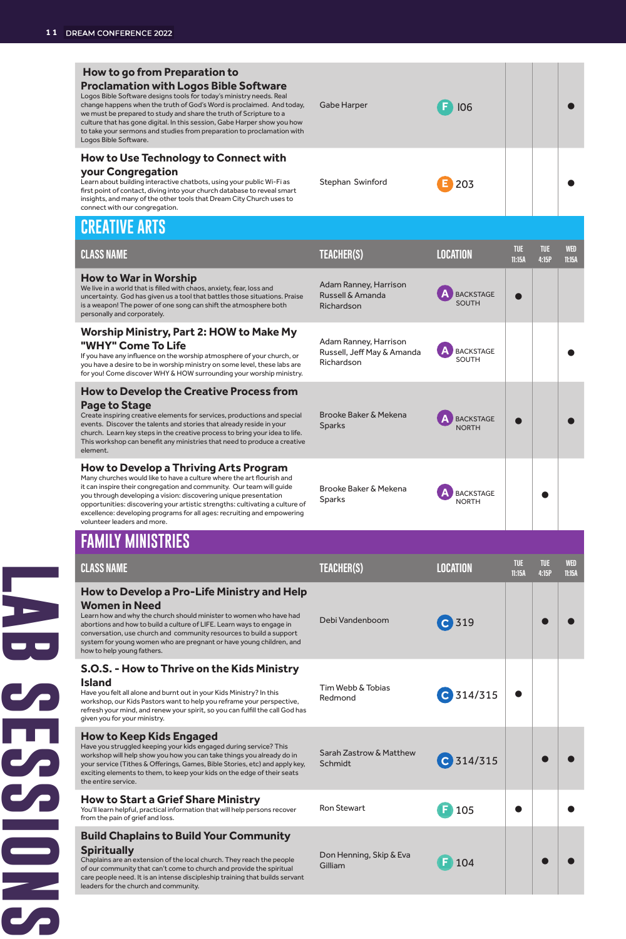### **lab series and the session of the session of the session of the session of the session of the session of the session of the session of the session of the session of the session of the session of the session of the session How to go from Preparation to Proclamation with Logos Bible Software** Logos Bible Software designs tools for today's ministry need change happens when the truth of God's Word is proclaimed. And today, Gabe Harper **F** l06 we must be prepared to study and share the truth of Scripture to a culture that has gone digital. In this session, Gabe Harper show you how to take your sermons and studies from preparation to proclamation with Logos Bible Software. **How to Use Technology to Connect with your Congregation**  Learn about building interactive chatbots, using your public Wi-Fi as Stephan Swinford **E** 203 first point of contact, diving into your church database to reveal smart insights, and many of the other tools that Dream City Church uses to connect with our congregation. **CREATIVE ARTS TUE WED CLASS NAME TEACHER(S) LOCATION TUE 11:15A 4:15P 11:15A How to War in Worship** Adam Ranney, Harrison We live in a world that is filled with chaos, anxiety, fear, loss and Russell & Amanda **A** BACKSTAGE |  $\bullet$ uncertainty. God has given us a tool that battles those situations. Praise is a weapon! The power of one song can shift the atmosphere both Richardson personally and corporately. **Worship Ministry, Part 2: HOW to Make My**  Adam Ranney, Harrison **"WHY" Come To Life** Russell, Jeff May & Amanda **A** BACKSTAGE | | | If you have any influence on the worship atmosphere of your church, or Richardson you have a desire to be in worship ministry on some level, these labs are for you! Come discover WHY & HOW surrounding your worship ministry. **How to Develop the Creative Process from Page to Stage** Brooke Baker & Mekena Create inspiring creative elements for services, productions and special events. Discover the talents and stories that already reside in your Sparks **A** BACKSTAGE NORTH church. Learn key steps in the creative process to bring your idea to life. This workshop can benefit any ministries that need to produce a creative element. **How to Develop a Thriving Arts Program** Many churches would like to have a culture where the art flourish and it can inspire their congregation and community. Our team will guide Brooke Baker & Mekena Sparks **A** BACKSTAGE **A** BACKSTAGE you through developing a vision: discovering unique presentation opportunities: discovering your artistic strengths: cultivating a culture of excellence: developing programs for all ages: recruiting and empowering volunteer leaders and more. **FAMILY MINISTRIES TUE CLASS NAME TEACHER(S) LOCATION TUE WED 11:15A 11:15A 4:15P How to Develop a Pro-Life Ministry and Help Women in Need** Learn how and why the church should minister to women who have had Debi Vandenboom **C** 319 abortions and how to build a culture of LIFE. Learn ways to engage in  $\overline{\mathbf{C}}$ conversation, use church and community resources to build a support system for young women who are pregnant or have young children, and how to help young fathers. **S.O.S. - How to Thrive on the Kids Ministry Island** Tim Webb & Tobias Have you felt all alone and burnt out in your Kids Ministry? In this **C** 314/315 **C** workshop, our Kids Pastors want to help you reframe your perspective, refresh your mind, and renew your spirit, so you can fulfill the call God has 'n given you for your ministry. **How to Keep Kids Engaged**

Sarah Zastrow & Matthew

Don Henning, Skip & Eva

Ron Stewart **F** 105

C 314/315

Gilliam **F** 104

Have you struggled keeping your kids engaged during service? This workshop will help show you how you can take things you already do in your service (Tithes & Offerings, Games, Bible Stories, etc) and apply key, exciting elements to them, to keep your kids on the edge of their seats the entire service.

**How to Start a Grief Share Ministry**

S<br>D<br>D

You'll learn helpful, practical information that will help persons recover from the pain of grief and loss.

**Build Chaplains to Build Your Community Spiritually**

Chaplains are an extension of the local church. They reach the people of our community that can't come to church and provide the spiritual care people need. It is an intense discipleship training that builds servant leaders for the church and community.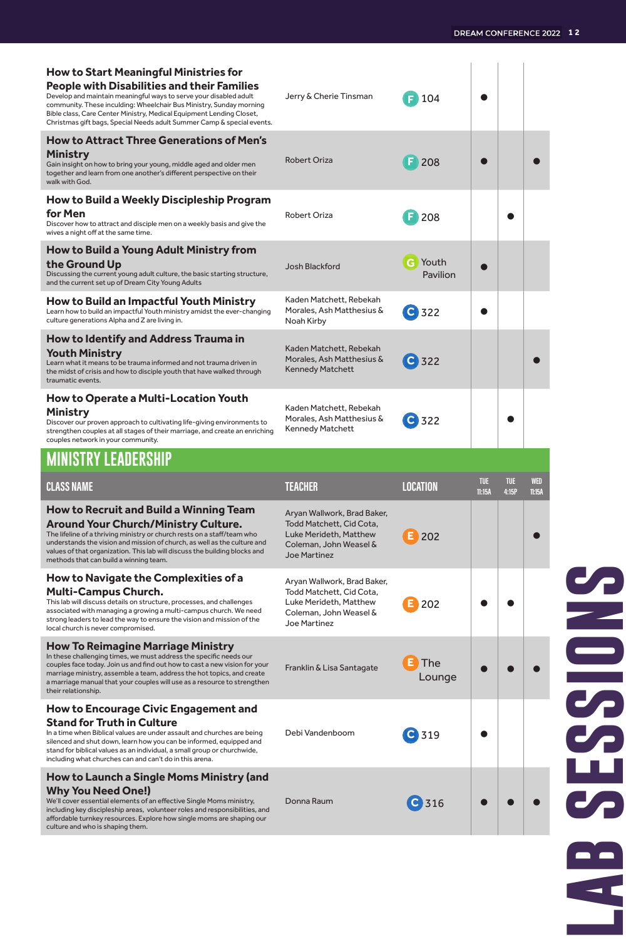| <b>How to Start Meaningful Ministries for</b><br>People with Disabilities and their Families<br>Develop and maintain meaningful ways to serve your disabled adult<br>community. These inculding: Wheelchair Bus Ministry, Sunday morning<br>Bible class, Care Center Ministry, Medical Equipment Lending Closet,<br>Christmas gift bags, Special Needs adult Summer Camp & special events. | Jerry & Cherie Tinsman                                                                                                             | 104                        |                      |                     |                      |
|--------------------------------------------------------------------------------------------------------------------------------------------------------------------------------------------------------------------------------------------------------------------------------------------------------------------------------------------------------------------------------------------|------------------------------------------------------------------------------------------------------------------------------------|----------------------------|----------------------|---------------------|----------------------|
| <b>How to Attract Three Generations of Men's</b><br>Ministry<br>Gain insight on how to bring your young, middle aged and older men<br>together and learn from one another's different perspective on their<br>walk with God.                                                                                                                                                               | <b>Robert Oriza</b>                                                                                                                | $F$ 208                    |                      |                     |                      |
| How to Build a Weekly Discipleship Program<br>for Men<br>Discover how to attract and disciple men on a weekly basis and give the<br>wives a night off at the same time.                                                                                                                                                                                                                    | Robert Oriza                                                                                                                       | F.<br>208                  |                      |                     |                      |
| How to Build a Young Adult Ministry from<br>the Ground Up<br>Discussing the current young adult culture, the basic starting structure,<br>and the current set up of Dream City Young Adults                                                                                                                                                                                                | Josh Blackford                                                                                                                     | <b>G</b> Youth<br>Pavilion |                      |                     |                      |
| How to Build an Impactful Youth Ministry<br>Learn how to build an impactful Youth ministry amidst the ever-changing<br>culture generations Alpha and Z are living in.                                                                                                                                                                                                                      | Kaden Matchett, Rebekah<br>Morales, Ash Matthesius &<br>Noah Kirby                                                                 | C 322                      |                      |                     |                      |
| How to Identify and Address Trauma in<br>Youth Ministry<br>Learn what it means to be trauma informed and not trauma driven in<br>the midst of crisis and how to disciple youth that have walked through<br>traumatic events.                                                                                                                                                               | Kaden Matchett, Rebekah<br>Morales, Ash Matthesius &<br><b>Kennedy Matchett</b>                                                    | C 322                      |                      |                     |                      |
| <b>How to Operate a Multi-Location Youth</b><br>Ministry<br>Discover our proven approach to cultivating life-giving environments to<br>strengthen couples at all stages of their marriage, and create an enriching<br>couples network in your community.                                                                                                                                   | Kaden Matchett, Rebekah<br>Morales, Ash Matthesius &<br>Kennedy Matchett                                                           | 322                        |                      |                     |                      |
|                                                                                                                                                                                                                                                                                                                                                                                            |                                                                                                                                    |                            |                      |                     |                      |
| <b>MINISTRY LEADERSHIP</b>                                                                                                                                                                                                                                                                                                                                                                 |                                                                                                                                    |                            |                      |                     |                      |
| <b>CLASS NAME</b>                                                                                                                                                                                                                                                                                                                                                                          | <b>TEACHER</b>                                                                                                                     | <b>LOCATION</b>            | <b>TUE</b><br>11:15A | <b>TUE</b><br>4:15P | <b>WED</b><br>11:15A |
| <b>How to Recruit and Build a Winning Team</b><br>Around Your Church/Ministry Culture.<br>The lifeline of a thriving ministry or church rests on a staff/team who<br>understands the vision and mission of church, as well as the culture and<br>values of that organization. This lab will discuss the building blocks and<br>methods that can build a winning team.                      | Aryan Wallwork, Brad Baker,<br>Todd Matchett, Cid Cota,<br>Luke Merideth, Matthew<br>Coleman, John Weasel &<br><b>Joe Martinez</b> | 202                        |                      |                     |                      |
| <b>How to Navigate the Complexities of a</b><br><b>Multi-Campus Church.</b><br>This lab will discuss details on structure, processes, and challenges<br>associated with managing a growing a multi-campus church. We need<br>strong leaders to lead the way to ensure the vision and mission of the<br>local church is never compromised.                                                  | Aryan Wallwork, Brad Baker,<br>Todd Matchett, Cid Cota,<br>Luke Merideth, Matthew<br>Coleman, John Weasel &<br>Joe Martinez        | 202                        |                      |                     |                      |
| How To Reimagine Marriage Ministry<br>In these challenging times, we must address the specific needs our<br>couples face today. Join us and find out how to cast a new vision for your<br>marriage ministry, assemble a team, address the hot topics, and create<br>a marriage manual that your couples will use as a resource to strengthen<br>their relationship.                        | Franklin & Lisa Santagate                                                                                                          | The<br>Lounge              |                      |                     |                      |
| How to Encourage Civic Engagement and<br><b>Stand for Truth in Culture</b><br>In a time when Biblical values are under assault and churches are being<br>silenced and shut down, learn how you can be informed, equipped and<br>stand for biblical values as an individual, a small group or churchwide,<br>including what churches can and can't do in this arena.                        | Debi Vandenboom                                                                                                                    | $C$ 319                    |                      |                     |                      |

# ESSIONS **lab sessions** S S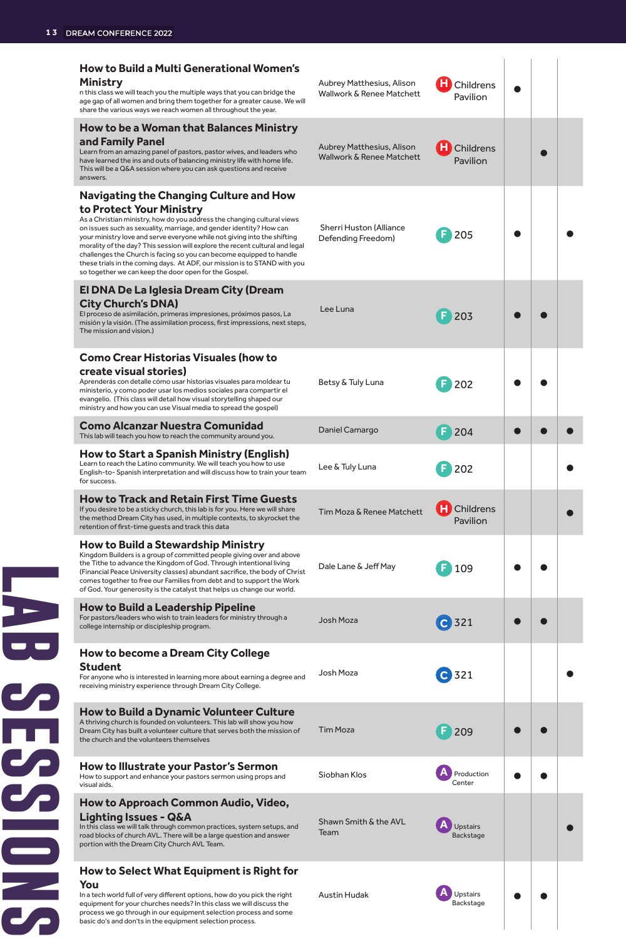### **lab series and the session series of the session of the session of the session of the session of the session of the session of the session of the session of the session of the session of the session of the session of the How to Build a Multi Generational Women's Ministry** Aubrey Matthesius, Alison **H** Childrens  $\bullet$ n this class we will teach you the multiple ways that you can bridge the Wallwork & Renee Matchett Pavilion age gap of all women and bring them together for a greater cause. We will share the various ways we reach women all throughout the year. **How to be a Woman that Balances Ministry and Family Panel** Aubrey Matthesius, Alison **H** Childrens  $\bullet$ Learn from an amazing panel of pastors, pastor wives, and leaders who have learned the ins and outs of balancing ministry life with home life. Wallwork & Renee Matchett Pavilion This will be a Q&A session where you can ask questions and receive answers. **Navigating the Changing Culture and How to Protect Your Ministry** As a Christian ministry, how do you address the changing cultural views on issues such as sexuality, marriage, and gender identity? How can Sherri Huston (Alliance Defending Freedom) **F** 205 your ministry love and serve everyone while not giving into the shifting morality of the day? This session will explore the recent cultural and legal challenges the Church is facing so you can become equipped to handle these trials in the coming days. At ADF, our mission is to STAND with you so together we can keep the door open for the Gospel. **El DNA De La Iglesia Dream City (Dream City Church's DNA)** Lee Luna **F** 203 **e c** El proceso de asimilación, primeras impresiones, próximos pasos, La misión y la visión. (The assimilation process, first impressions, next steps, The mission and vision.) **Como Crear Historias Visuales (how to create visual stories)** Aprenderás con detalle cómo usar historias visuales para moldear tu Betsy & Tuly Luna **F** 202 ministerio, y como poder usar los medios sociales para compartir el evangelio. (This class will detail how visual storytelling shaped our ministry and how you can use Visual media to spread the gospel) **Como Alcanzar Nuestra Comunidad Como Alcanzar Nuestra Comunidad**<br>This lab will teach you how to reach the community around you. Daniel Camargo **F** 204 **F** 201 **How to Start a Spanish Ministry (English)** Learn to reach the Latino community. We will teach you how to use Lee & Tuly Luna **F** 202 English-to- Spanish interpretation and will discuss how to train your team for success. **How to Track and Retain First Time Guests** Tim Moza & Renee Matchett **H** Childrens If you desire to be a sticky church, this lab is for you. Here we will sha  $\bullet$ the method Dream City has used, in multiple contexts, to skyrocket the Pavilion retention of first-time guests and track this data **How to Build a Stewardship Ministry** Kingdom Builders is a group of committed people giving over and above the Tithe to advance the Kingdom of God. Through intentional living Dale Lane & Jeff May **F** 109 (Financial Peace University classes) abundant sacrifice, the body of Christ comes together to free our Families from debt and to support the Work of God. Your generosity is the catalyst that helps us change our world. **How to Build a Leadership Pipeline**<br>For pastors/leaders who wish to train leaders for ministry through a For pastors/leaders who wish to train lead For pastors/leaders who wish to train leaders for ministry through a Josh Moza<br>college internship or discipleship program.  $\frac{1}{\sqrt{2}}$ **How to become a Dream City College Student** Josh Moza **C** 321 For anyone who is interested in learning more about earning a degree and receiving ministry experience through Dream City College. **How to Build a Dynamic Volunteer Culture** A thriving church is founded on volunteers. This lab will show you how Tim Moza **F** 209 ● ● Dream City has built a volunteer culture that serves both the mission of the church and the volunteers themselves **How to Illustrate your Pastor's Sermon** Production **CENTER** Siobhan Klos **A** Production How to support and enhance your pastors sermon using props and visual aids. **How to Approach Common Audio, Video, Lighting Issues - Q&A** Shawn Smith & the AVL In this class we will talk through common practices, system setups, and Shawn Smith & the AVL<br>Team **A** Upstairs Backstage road blocks of church AVL. There will be a large question and answer portion with the Dream City Church AVL Tea **How to Select What Equipment is Right for You**

In a tech world full of very different options, how do you pick the right equipment for your churches needs? In this class we will discuss the process we go through in our equipment selection process and some basic do's and don'ts in the equipment selection process.

**A** Upstairs **A** Upstairs **A** Upstairs **A** Upstairs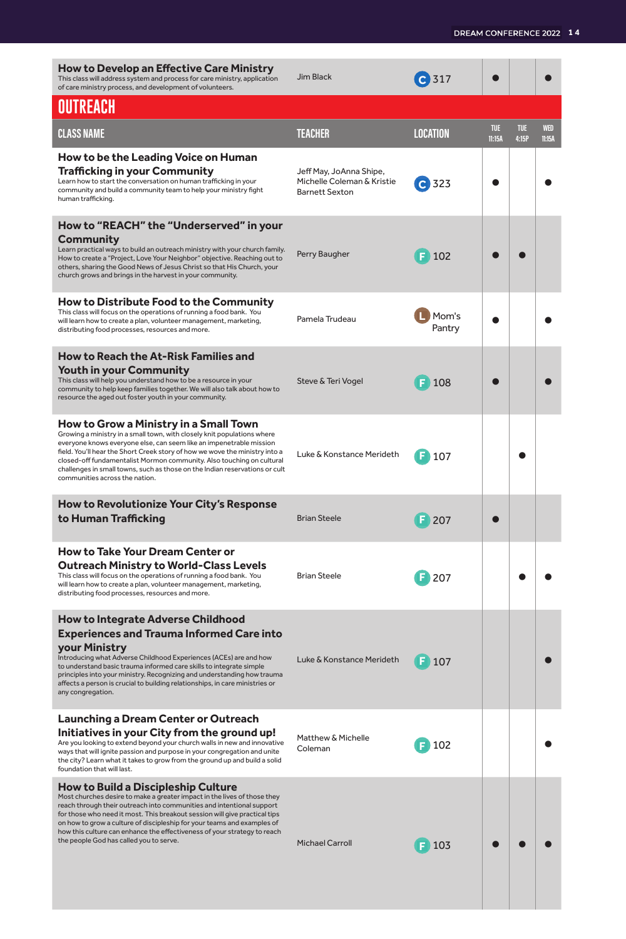| <b>How to Develop an Effective Care Ministry</b><br>This class will address system and process for care ministry, application<br>of care ministry process, and development of volunteers.                                                                                                                                                                                                                                                                                       | Jim Black                                                                      | $C$ 317         |                      |                     |               |
|---------------------------------------------------------------------------------------------------------------------------------------------------------------------------------------------------------------------------------------------------------------------------------------------------------------------------------------------------------------------------------------------------------------------------------------------------------------------------------|--------------------------------------------------------------------------------|-----------------|----------------------|---------------------|---------------|
| OUTREACH                                                                                                                                                                                                                                                                                                                                                                                                                                                                        |                                                                                |                 |                      |                     |               |
| CLASS NAME                                                                                                                                                                                                                                                                                                                                                                                                                                                                      | <b>TEACHER</b>                                                                 | LOCATION        | <b>TUE</b><br>11:15A | <b>TUE</b><br>4:15P | WED<br>11:15A |
| How to be the Leading Voice on Human<br>Trafficking in your Community<br>Learn how to start the conversation on human trafficking in your<br>community and build a community team to help your ministry fight<br>human trafficking.                                                                                                                                                                                                                                             | Jeff May, JoAnna Shipe,<br>Michelle Coleman & Kristie<br><b>Barnett Sexton</b> | $C$ 323         |                      |                     |               |
| How to "REACH" the "Underserved" in your<br>Community<br>Learn practical ways to build an outreach ministry with your church family.<br>How to create a "Project, Love Your Neighbor" objective. Reaching out to<br>others, sharing the Good News of Jesus Christ so that His Church, your<br>church grows and brings in the harvest in your community.                                                                                                                         | Perry Baugher                                                                  | 102             |                      |                     |               |
| How to Distribute Food to the Community<br>This class will focus on the operations of running a food bank. You<br>will learn how to create a plan, volunteer management, marketing,<br>distributing food processes, resources and more.                                                                                                                                                                                                                                         | Pamela Trudeau                                                                 | Mom's<br>Pantry |                      |                     |               |
| How to Reach the At-Risk Families and<br>Youth in your Community<br>This class will help you understand how to be a resource in your<br>community to help keep families together. We will also talk about how to<br>resource the aged out foster youth in your community.                                                                                                                                                                                                       | Steve & Teri Vogel                                                             | 108             |                      |                     |               |
| How to Grow a Ministry in a Small Town<br>Growing a ministry in a small town, with closely knit populations where<br>everyone knows everyone else, can seem like an impenetrable mission<br>field. You'll hear the Short Creek story of how we wove the ministry into a<br>closed-off fundamentalist Mormon community. Also touching on cultural<br>challenges in small towns, such as those on the Indian reservations or cult<br>communities across the nation.               | Luke & Konstance Merideth                                                      | 107             |                      |                     |               |
| How to Revolutionize Your City's Response<br>to Human Trafficking                                                                                                                                                                                                                                                                                                                                                                                                               | <b>Brian Steele</b>                                                            | $F$ 207         |                      |                     |               |
| <b>How to Take Your Dream Center or</b><br>Outreach Ministry to World-Class Levels<br>This class will focus on the operations of running a food bank. You<br>will learn how to create a plan, volunteer management, marketing,<br>distributing food processes, resources and more.                                                                                                                                                                                              | <b>Brian Steele</b>                                                            | 207             |                      |                     |               |
| <b>How to Integrate Adverse Childhood</b><br><b>Experiences and Trauma Informed Care into</b><br>your Ministry<br>Introducing what Adverse Childhood Experiences (ACEs) are and how<br>to understand basic trauma informed care skills to integrate simple<br>principles into your ministry. Recognizing and understanding how trauma<br>affects a person is crucial to building relationships, in care ministries or<br>any congregation.                                      | Luke & Konstance Merideth                                                      | $F$ 107         |                      |                     |               |
| <b>Launching a Dream Center or Outreach</b><br>Initiatives in your City from the ground up!<br>Are you looking to extend beyond your church walls in new and innovative<br>ways that will ignite passion and purpose in your congregation and unite<br>the city? Learn what it takes to grow from the ground up and build a solid<br>foundation that will last.                                                                                                                 | Matthew & Michelle<br>Coleman                                                  | 102             |                      |                     |               |
| <b>How to Build a Discipleship Culture</b><br>Most churches desire to make a greater impact in the lives of those they<br>reach through their outreach into communities and intentional support<br>for those who need it most. This breakout session will give practical tips<br>on how to grow a culture of discipleship for your teams and examples of<br>how this culture can enhance the effectiveness of your strategy to reach<br>the people God has called you to serve. | <b>Michael Carroll</b>                                                         | F103            |                      |                     |               |